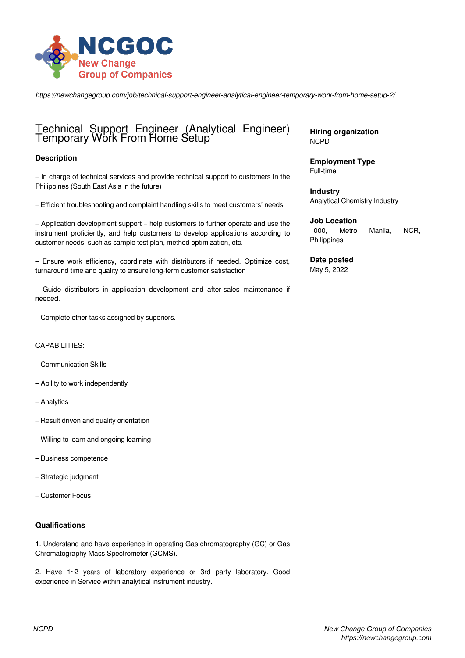

*https://newchangegroup.com/job/technical-support-engineer-analytical-engineer-temporary-work-from-home-setup-2/*

# Technical Support Engineer (Analytical Engineer) Temporary Work From Home Setup

## **Description**

– In charge of technical services and provide technical support to customers in the Philippines (South East Asia in the future)

– Efficient troubleshooting and complaint handling skills to meet customers' needs

– Application development support – help customers to further operate and use the instrument proficiently, and help customers to develop applications according to customer needs, such as sample test plan, method optimization, etc.

– Ensure work efficiency, coordinate with distributors if needed. Optimize cost, turnaround time and quality to ensure long-term customer satisfaction

– Guide distributors in application development and after-sales maintenance if needed.

– Complete other tasks assigned by superiors.

#### CAPABILITIES:

- Communication Skills
- Ability to work independently
- Analytics
- Result driven and quality orientation
- Willing to learn and ongoing learning
- Business competence
- Strategic judgment
- Customer Focus

#### **Qualifications**

1. Understand and have experience in operating Gas chromatography (GC) or Gas Chromatography Mass Spectrometer (GCMS).

2. Have 1~2 years of laboratory experience or 3rd party laboratory. Good experience in Service within analytical instrument industry.

**Hiring organization** NCPD

**Employment Type** Full-time

**Industry** Analytical Chemistry Industry

**Job Location**

1000, Metro Manila, NCR, Philippines

**Date posted** May 5, 2022